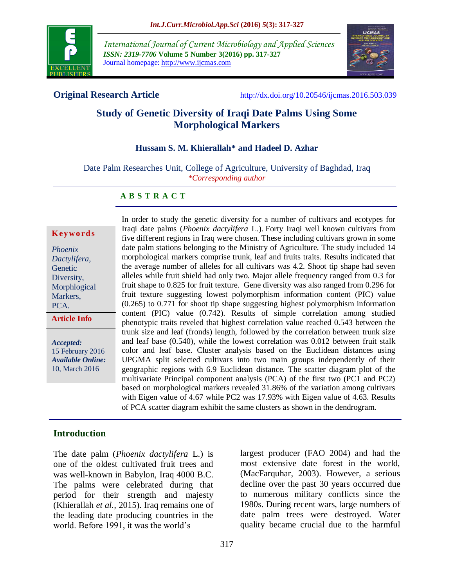

*International Journal of Current Microbiology and Applied Sciences ISSN: 2319-7706* **Volume 5 Number 3(2016) pp. 317-327** Journal homepage: http://www.ijcmas.com



**Original Research Article** [http://dx.doi.org/10.20546/ijcmas.2016.503.039](http://dx.doi.org/10.20546/ijcmas.2016.503.038)

# **Study of Genetic Diversity of Iraqi Date Palms Using Some Morphological Markers**

#### **Hussam S. M. Khierallah\* and Hadeel D. Azhar**

Date Palm Researches Unit, College of Agriculture, University of Baghdad, Iraq *\*Corresponding author*

#### **A B S T R A C T**

#### **K ey w o rd s**

*Phoenix Dactylifera*, Genetic Diversity, Morphlogical Markers, PCA.

**Article Info**

*Accepted:*  15 February 2016 *Available Online:* 10, March 2016

In order to study the genetic diversity for a number of cultivars and ecotypes for Iraqi date palms (*Phoenix dactylifera* L.). Forty Iraqi well known cultivars from five different regions in Iraq were chosen. These including cultivars grown in some date palm stations belonging to the Ministry of Agriculture. The study included 14 morphological markers comprise trunk, leaf and fruits traits. Results indicated that the average number of alleles for all cultivars was 4.2. Shoot tip shape had seven alleles while fruit shield had only two. Major allele frequency ranged from 0.3 for fruit shape to 0.825 for fruit texture. Gene diversity was also ranged from 0.296 for fruit texture suggesting lowest polymorphism information content (PIC) value (0.265) to 0.771 for shoot tip shape suggesting highest polymorphism information content (PIC) value (0.742). Results of simple correlation among studied phenotypic traits reveled that highest correlation value reached 0.543 between the trunk size and leaf (fronds) length, followed by the correlation between trunk size and leaf base (0.540), while the lowest correlation was 0.012 between fruit stalk color and leaf base. Cluster analysis based on the Euclidean distances using UPGMA split selected cultivars into two main groups independently of their geographic regions with 6.9 Euclidean distance. The scatter diagram plot of the multivariate Principal component analysis (PCA) of the first two (PC1 and PC2) based on morphological markers revealed 31.86% of the variation among cultivars with Eigen value of 4.67 while PC2 was 17.93% with Eigen value of 4.63. Results of PCA scatter diagram exhibit the same clusters as shown in the dendrogram.

#### **Introduction**

The date palm (*Phoenix dactylifera* L.) is one of the oldest cultivated fruit trees and was well-known in Babylon, Iraq 4000 B.C. The palms were celebrated during that period for their strength and majesty (Khierallah *et al.,* 2015). Iraq remains one of the leading date producing countries in the world. Before 1991, it was the world's

largest producer (FAO 2004) and had the most extensive date forest in the world, (MacFarquhar, 2003). However, a serious decline over the past 30 years occurred due to numerous military conflicts since the 1980s. During recent wars, large numbers of date palm trees were destroyed. Water quality became crucial due to the harmful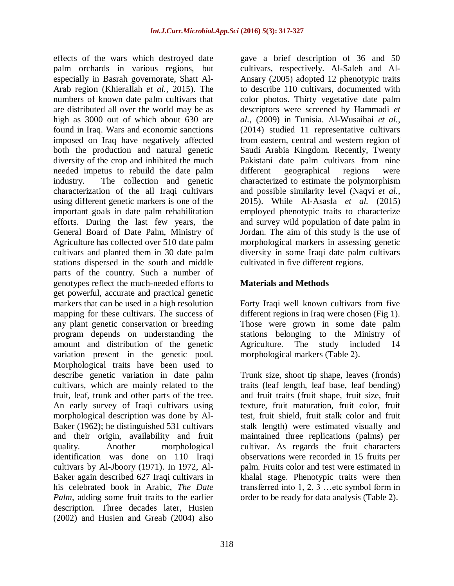effects of the wars which destroyed date palm orchards in various regions, but especially in Basrah governorate, Shatt Al-Arab region (Khierallah *et al.,* 2015). The numbers of known date palm cultivars that are distributed all over the world may be as high as 3000 out of which about 630 are found in Iraq. Wars and economic sanctions imposed on Iraq have negatively affected both the production and natural genetic diversity of the crop and inhibited the much needed impetus to rebuild the date palm industry. The collection and genetic characterization of the all Iraqi cultivars using different genetic markers is one of the important goals in date palm rehabilitation efforts. During the last few years, the General Board of Date Palm, Ministry of Agriculture has collected over 510 date palm cultivars and planted them in 30 date palm stations dispersed in the south and middle parts of the country. Such a number of genotypes reflect the much-needed efforts to get powerful, accurate and practical genetic markers that can be used in a high resolution mapping for these cultivars. The success of any plant genetic conservation or breeding program depends on understanding the amount and distribution of the genetic variation present in the genetic pool. Morphological traits have been used to describe genetic variation in date palm cultivars, which are mainly related to the fruit, leaf, trunk and other parts of the tree. An early survey of Iraqi cultivars using morphological description was done by Al-Baker (1962); he distinguished 531 cultivars and their origin, availability and fruit quality. Another morphological identification was done on 110 Iraqi cultivars by Al-Jboory (1971). In 1972, Al-Baker again described 627 Iraqi cultivars in his celebrated book in Arabic, *The Date Palm*, adding some fruit traits to the earlier description. Three decades later, Husien (2002) and Husien and Greab (2004) also

gave a brief description of 36 and 50 cultivars, respectively. Al-Saleh and Al-Ansary (2005) adopted 12 phenotypic traits to describe 110 cultivars, documented with color photos. Thirty vegetative date palm descriptors were screened by Hammadi *et al.,* (2009) in Tunisia. Al-Wusaibai *et al.,* (2014) studied 11 representative cultivars from eastern, central and western region of Saudi Arabia Kingdom. Recently, Twenty Pakistani date palm cultivars from nine different geographical regions were characterized to estimate the polymorphism and possible similarity level (Naqvi *et al.,* 2015). While Al-Asasfa *et al.* (2015) employed phenotypic traits to characterize and survey wild population of date palm in Jordan. The aim of this study is the use of morphological markers in assessing genetic diversity in some Iraqi date palm cultivars cultivated in five different regions.

## **Materials and Methods**

Forty Iraqi well known cultivars from five different regions in Iraq were chosen (Fig 1). Those were grown in some date palm stations belonging to the Ministry of Agriculture. The study included 14 morphological markers (Table 2).

Trunk size, shoot tip shape, leaves (fronds) traits (leaf length, leaf base, leaf bending) and fruit traits (fruit shape, fruit size, fruit texture, fruit maturation, fruit color, fruit test, fruit shield, fruit stalk color and fruit stalk length) were estimated visually and maintained three replications (palms) per cultivar. As regards the fruit characters observations were recorded in 15 fruits per palm. Fruits color and test were estimated in khalal stage. Phenotypic traits were then transferred into 1, 2, 3 …etc symbol form in order to be ready for data analysis (Table 2).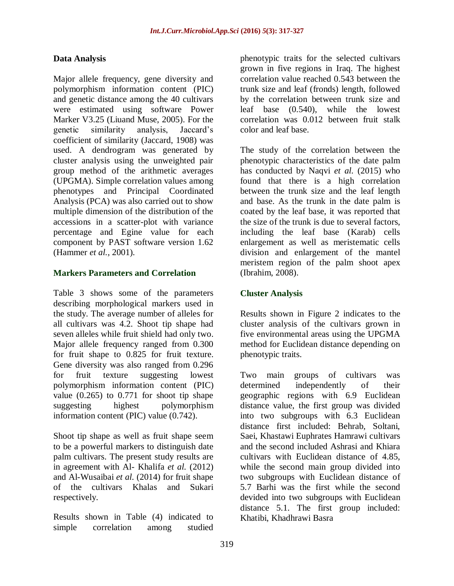### **Data Analysis**

Major allele frequency, gene diversity and polymorphism information content (PIC) and genetic distance among the 40 cultivars were estimated using software Power Marker V3.25 (Liuand Muse, 2005). For the genetic similarity analysis, Jaccard's coefficient of similarity (Jaccard, 1908) was used. A dendrogram was generated by cluster analysis using the unweighted pair group method of the arithmetic averages (UPGMA). Simple correlation values among phenotypes and Principal Coordinated Analysis (PCA) was also carried out to show multiple dimension of the distribution of the accessions in a scatter-plot with variance percentage and Egine value for each component by PAST software version 1.62 (Hammer *et al.,* 2001).

#### **Markers Parameters and Correlation**

Table 3 shows some of the parameters describing morphological markers used in the study. The average number of alleles for all cultivars was 4.2. Shoot tip shape had seven alleles while fruit shield had only two. Major allele frequency ranged from 0.300 for fruit shape to 0.825 for fruit texture. Gene diversity was also ranged from 0.296 for fruit texture suggesting lowest polymorphism information content (PIC) value  $(0.265)$  to  $0.771$  for shoot tip shape suggesting highest polymorphism information content (PIC) value (0.742).

Shoot tip shape as well as fruit shape seem to be a powerful markers to distinguish date palm cultivars. The present study results are in agreement with Al- Khalifa *et al.* (2012) and Al-Wusaibai *et al.* (2014) for fruit shape of the cultivars Khalas and Sukari respectively.

Results shown in Table (4) indicated to simple correlation among studied phenotypic traits for the selected cultivars grown in five regions in Iraq. The highest correlation value reached 0.543 between the trunk size and leaf (fronds) length, followed by the correlation between trunk size and leaf base (0.540), while the lowest correlation was 0.012 between fruit stalk color and leaf base.

The study of the correlation between the phenotypic characteristics of the date palm has conducted by Naqvi *et al.* (2015) who found that there is a high correlation between the trunk size and the leaf length and base. As the trunk in the date palm is coated by the leaf base, it was reported that the size of the trunk is due to several factors, including the leaf base (Karab) cells enlargement as well as meristematic cells division and enlargement of the mantel meristem region of the palm shoot apex (Ibrahim, 2008).

#### **Cluster Analysis**

Results shown in Figure 2 indicates to the cluster analysis of the cultivars grown in five environmental areas using the UPGMA method for Euclidean distance depending on phenotypic traits.

Two main groups of cultivars was determined independently of their geographic regions with 6.9 Euclidean distance value, the first group was divided into two subgroups with 6.3 Euclidean distance first included: Behrab, Soltani, Saei, Khastawi Euphrates Hamrawi cultivars and the second included Ashrasi and Khiara cultivars with Euclidean distance of 4.85, while the second main group divided into two subgroups with Euclidean distance of 5.7 Barhi was the first while the second devided into two subgroups with Euclidean distance 5.1. The first group included: Khatibi, Khadhrawi Basra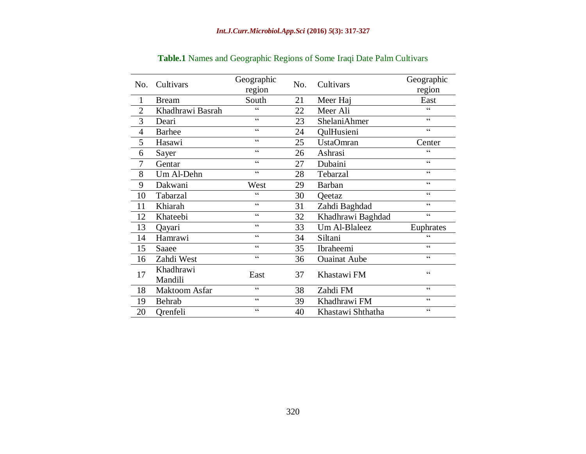| No.            | Cultivars            | Geographic      | No. | Cultivars           | Geographic                                        |  |
|----------------|----------------------|-----------------|-----|---------------------|---------------------------------------------------|--|
|                |                      | region          |     |                     | region                                            |  |
| $\mathbf{1}$   | <b>Bream</b>         | South           | 21  | Meer Haj            | East                                              |  |
| $\overline{2}$ | Khadhrawi Basrah     | $\epsilon$      | 22  | Meer Ali            | $\epsilon$                                        |  |
| 3              | Deari                | $\epsilon$      | 23  | ShelaniAhmer        | $\epsilon$                                        |  |
| $\overline{4}$ | <b>Barhee</b>        | cc              | 24  | QulHusieni          | $\pmb{\zeta}$ $\pmb{\zeta}$                       |  |
| 5              | Hasawi               | cc              | 25  | <b>UstaOmran</b>    | Center                                            |  |
| 6              | Sayer                | $\epsilon$      | 26  | Ashrasi             | $\epsilon$                                        |  |
| $\tau$         | Gentar               | $\epsilon$      | 27  | Dubaini             | $\epsilon$                                        |  |
| 8              | Um Al-Dehn           | cc              | 28  | Tebarzal            | $\pmb{\zeta}$ $\pmb{\zeta}$                       |  |
| 9              | Dakwani              | West            | 29  | <b>Barban</b>       | $\pmb{\zeta}$ $\pmb{\zeta}$                       |  |
| 10             | Tabarzal             | $\epsilon$      | 30  | Qeetaz              | $\boldsymbol{\varsigma}$ $\boldsymbol{\varsigma}$ |  |
| 11             | Khiarah              | $\epsilon$      | 31  | Zahdi Baghdad       | $\pmb{\zeta}$ $\pmb{\zeta}$                       |  |
| 12             | Khateebi             | $\zeta$ $\zeta$ | 32  | Khadhrawi Baghdad   | $\pmb{\zeta}$ $\pmb{\zeta}$                       |  |
| 13             | Qayari               | cc              | 33  | Um Al-Blaleez       | Euphrates                                         |  |
| 14             | Hamrawi              | cc              | 34  | Siltani             | $\zeta\,\zeta$                                    |  |
| 15             | Saaee                | cc              | 35  | Ibraheemi           | $\epsilon$                                        |  |
| 16             | Zahdi West           | cc              | 36  | <b>Ouainat Aube</b> | $\boldsymbol{\varsigma}$ $\boldsymbol{\varsigma}$ |  |
| 17             | Khadhrawi            | East            | 37  | Khastawi FM         | $\boldsymbol{\varsigma}$ $\boldsymbol{\varsigma}$ |  |
|                | Mandili              |                 |     |                     |                                                   |  |
| 18             | <b>Maktoom Asfar</b> | cc              | 38  | Zahdi FM            | $\pmb{\zeta}$ $\pmb{\zeta}$                       |  |
| 19             | Behrab               | cc              | 39  | Khadhrawi FM        | $\zeta\,\zeta$                                    |  |
| 20             | Qrenfeli             | $\epsilon$      | 40  | Khastawi Shthatha   | $\epsilon$                                        |  |

**Table.1** Names and Geographic Regions of Some Iraqi Date Palm Cultivars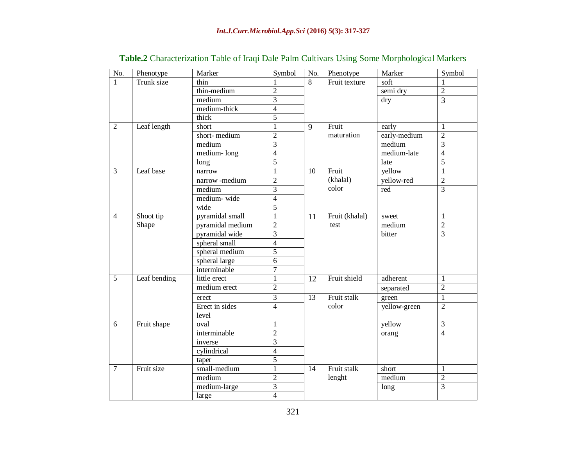| No.            | Phenotype    | Marker                  | Symbol         | No.             | Phenotype              | Marker       | Symbol         |
|----------------|--------------|-------------------------|----------------|-----------------|------------------------|--------------|----------------|
| $\mathbf{1}$   | Trunk size   | thin                    |                | 8               | Fruit texture          | soft         |                |
|                |              | thin-medium             | $\overline{2}$ |                 |                        | semi dry     | $\overline{2}$ |
|                |              | medium                  | $\overline{3}$ |                 |                        | dry          | $\overline{3}$ |
|                |              | medium-thick            | $\overline{4}$ |                 |                        |              |                |
|                |              | thick                   | $\overline{5}$ |                 |                        |              |                |
| 2              | Leaf length  | short                   | 1              | 9               | Fruit                  | early        | $\mathbf{1}$   |
|                |              | short-medium            | $\overline{2}$ |                 | maturation             | early-medium | $\overline{2}$ |
|                |              | medium                  | $\overline{3}$ |                 |                        | medium       | $\overline{3}$ |
|                |              | medium-long             | $\overline{4}$ |                 |                        | medium-late  | $\overline{4}$ |
|                |              | long                    | $\overline{5}$ |                 |                        | late         | $\overline{5}$ |
| $\overline{3}$ | Leaf base    | narrow                  | $\,1\,$        |                 | Fruit                  | yellow       | $\mathbf{1}$   |
|                |              | narrow -medium          | $\overline{2}$ |                 | (khalal)<br>color      | yellow-red   | $\overline{2}$ |
|                |              | medium                  | $\overline{3}$ |                 |                        | red          | $\overline{3}$ |
|                |              | medium-wide             | $\overline{4}$ |                 |                        |              |                |
|                |              | wide                    | $\overline{5}$ |                 |                        |              |                |
| $\overline{4}$ | Shoot tip    | pyramidal small         | 1              | 11              | Fruit (khalal)<br>test | sweet        | 1              |
|                | Shape        | pyramidal medium        | $\overline{2}$ |                 |                        | medium       | $\frac{2}{3}$  |
|                |              | pyramidal wide          | $\overline{3}$ |                 |                        | bitter       |                |
|                |              | spheral small           | $\overline{4}$ |                 |                        |              |                |
|                |              | spheral medium          | $\overline{5}$ |                 |                        |              |                |
|                |              | spheral large           | $\overline{6}$ |                 |                        |              |                |
|                |              | interminable            | $\overline{7}$ |                 |                        |              |                |
| 5              | Leaf bending | little erect            | 1              | 12              | Fruit shield           | adherent     | 1              |
|                |              | medium erect            | $\overline{2}$ |                 |                        | separated    | $\overline{2}$ |
|                |              | $\overline{3}$<br>erect |                | $\overline{13}$ | Fruit stalk            | green        | $\overline{1}$ |
|                |              | Erect in sides          | $\overline{4}$ |                 | color                  | yellow-green | $\overline{2}$ |
|                |              | level                   |                |                 |                        |              |                |
| 6              | Fruit shape  | oval                    | 1              |                 |                        | yellow       | $\overline{3}$ |
|                |              | interminable            | $\overline{2}$ |                 |                        | orang        | $\overline{4}$ |
|                |              | inverse                 | 3              |                 |                        |              |                |
|                |              | cylindrical             | $\overline{4}$ |                 |                        |              |                |
|                |              | taper                   | $\overline{5}$ |                 |                        |              |                |
| $\overline{7}$ | Fruit size   | small-medium            | $\overline{1}$ | 14              | Fruit stalk            | short        | $\mathbf{1}$   |
|                |              | medium                  | $\overline{2}$ |                 | lenght                 | medium       | $\overline{2}$ |
|                |              | medium-large            | $\overline{3}$ |                 |                        | long         | $\overline{3}$ |
|                |              | large                   | $\overline{4}$ |                 |                        |              |                |

# **Table.2** Characterization Table of Iraqi Dale Palm Cultivars Using Some Morphological Markers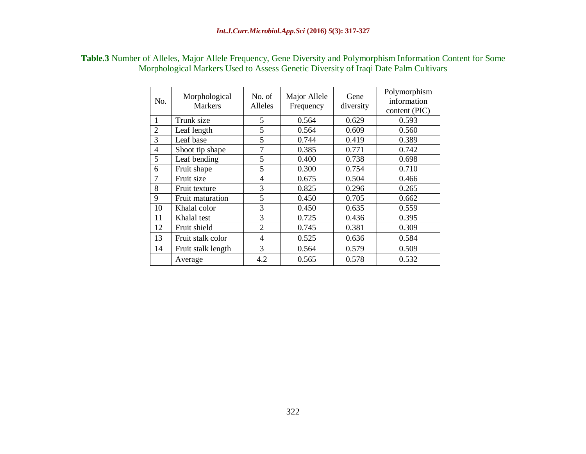|     | Morphological Markers Used to Assess Genetic Diversity of Iraqi Date Palm Cultivars |                   |                           |                   |                                              |
|-----|-------------------------------------------------------------------------------------|-------------------|---------------------------|-------------------|----------------------------------------------|
| No. | Morphological<br><b>Markers</b>                                                     | No. of<br>Alleles | Major Allele<br>Frequency | Gene<br>diversity | Polymorphism<br>information<br>content (PIC) |
|     | Trunk size                                                                          |                   | 0.564                     | 0.629             | 0.593                                        |

2 Leaf length 1 5 0.564 0.609 0.560 3 Leaf base 5 0.744 0.419 0.389 4 Shoot tip shape 7 0.385 0.771 0.742 5 Leaf bending 5 0.400 0.738 0.698 6 Fruit shape  $\begin{array}{|c|c|c|c|c|c|} \hline 6 & 5 & 0.300 & 0.754 & 0.710 \hline \end{array}$ 7 Fruit size 1 4 0.675 0.504 0.466 8 Fruit texture 3 0.825 0.296 0.265<br>9 Fruit maturation 5 0.450 0.705 0.662

10 | Khalal color | 3 | 0.450 | 0.635 | 0.559 11 | Khalal test | 3 | 0.725 | 0.436 | 0.395 12 Fruit shield 2 0.745 0.381 0.309 13 | Fruit stalk color | 4 | 0.525 | 0.636 | 0.584 14 Fruit stalk length 3 0.564 0.579 0.509

Average 1 4.2 0.565 0.578 0.532

Fruit maturation

# **Table.3** Number of Alleles, Major Allele Frequency, Gene Diversity and Polymorphism Information Content for Some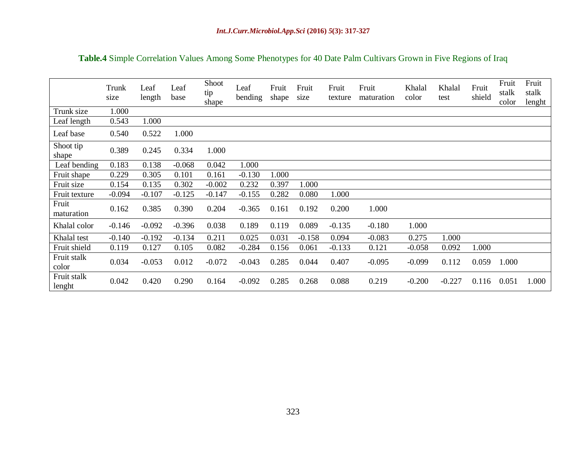|  |  | Table.4 Simple Correlation Values Among Some Phenotypes for 40 Date Palm Cultivars Grown in Five Regions of Iraq |
|--|--|------------------------------------------------------------------------------------------------------------------|
|  |  |                                                                                                                  |

|                       | Trunk<br>size | Leaf<br>length | Leaf<br>base | Shoot<br>tip<br>shape | Leaf<br>bending | Fruit<br>shape | Fruit<br>size | Fruit<br>texture | Fruit<br>maturation | Khalal<br>color | Khalal<br>test | Fruit<br>shield | Fruit<br>stalk<br>color | Fruit<br>stalk<br>lenght |
|-----------------------|---------------|----------------|--------------|-----------------------|-----------------|----------------|---------------|------------------|---------------------|-----------------|----------------|-----------------|-------------------------|--------------------------|
| Trunk size            | 1.000         |                |              |                       |                 |                |               |                  |                     |                 |                |                 |                         |                          |
| Leaf length           | 0.543         | 1.000          |              |                       |                 |                |               |                  |                     |                 |                |                 |                         |                          |
| Leaf base             | 0.540         | 0.522          | 1.000        |                       |                 |                |               |                  |                     |                 |                |                 |                         |                          |
| Shoot tip<br>shape    | 0.389         | 0.245          | 0.334        | 1.000                 |                 |                |               |                  |                     |                 |                |                 |                         |                          |
| Leaf bending          | 0.183         | 0.138          | $-0.068$     | 0.042                 | 1.000           |                |               |                  |                     |                 |                |                 |                         |                          |
| Fruit shape           | 0.229         | 0.305          | 0.101        | 0.161                 | $-0.130$        | 1.000          |               |                  |                     |                 |                |                 |                         |                          |
| Fruit size            | 0.154         | 0.135          | 0.302        | $-0.002$              | 0.232           | 0.397          | 1.000         |                  |                     |                 |                |                 |                         |                          |
| Fruit texture         | $-0.094$      | $-0.107$       | $-0.125$     | $-0.147$              | $-0.155$        | 0.282          | 0.080         | 1.000            |                     |                 |                |                 |                         |                          |
| Fruit<br>maturation   | 0.162         | 0.385          | 0.390        | 0.204                 | $-0.365$        | 0.161          | 0.192         | 0.200            | 1.000               |                 |                |                 |                         |                          |
| Khalal color          | $-0.146$      | $-0.092$       | $-0.396$     | 0.038                 | 0.189           | 0.119          | 0.089         | $-0.135$         | $-0.180$            | 1.000           |                |                 |                         |                          |
| Khalal test           | $-0.140$      | $-0.192$       | $-0.134$     | 0.211                 | 0.025           | 0.031          | $-0.158$      | 0.094            | $-0.083$            | 0.275           | 1.000          |                 |                         |                          |
| Fruit shield          | 0.119         | 0.127          | 0.105        | 0.082                 | $-0.284$        | 0.156          | 0.061         | $-0.133$         | 0.121               | $-0.058$        | 0.092          | 1.000           |                         |                          |
| Fruit stalk<br>color  | 0.034         | $-0.053$       | 0.012        | $-0.072$              | $-0.043$        | 0.285          | 0.044         | 0.407            | $-0.095$            | $-0.099$        | 0.112          | 0.059           | 1.000                   |                          |
| Fruit stalk<br>lenght | 0.042         | 0.420          | 0.290        | 0.164                 | $-0.092$        | 0.285          | 0.268         | 0.088            | 0.219               | $-0.200$        | $-0.227$       | 0.116           | 0.051                   | 1.000                    |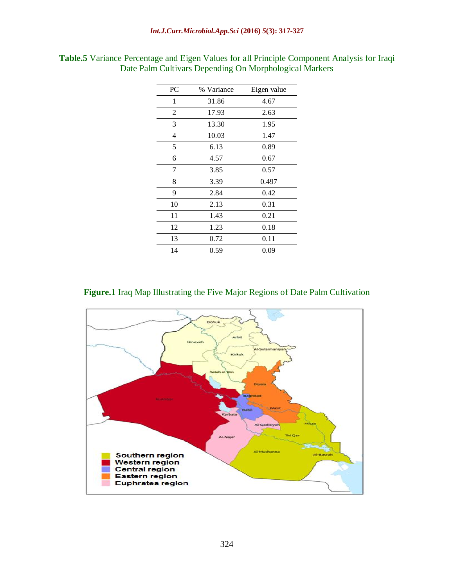| PC | % Variance | Eigen value |
|----|------------|-------------|
| 1  | 31.86      | 4.67        |
| 2  | 17.93      | 2.63        |
| 3  | 13.30      | 1.95        |
| 4  | 10.03      | 1.47        |
| 5  | 6.13       | 0.89        |
| 6  | 4.57       | 0.67        |
| 7  | 3.85       | 0.57        |
| 8  | 3.39       | 0.497       |
| 9  | 2.84       | 0.42        |
| 10 | 2.13       | 0.31        |
| 11 | 1.43       | 0.21        |
| 12 | 1.23       | 0.18        |
| 13 | 0.72       | 0.11        |
| 14 | 0.59       | 0.09        |

**Table.5** Variance Percentage and Eigen Values for all Principle Component Analysis for Iraqi Date Palm Cultivars Depending On Morphological Markers

#### **Figure.1** Iraq Map Illustrating the Five Major Regions of Date Palm Cultivation

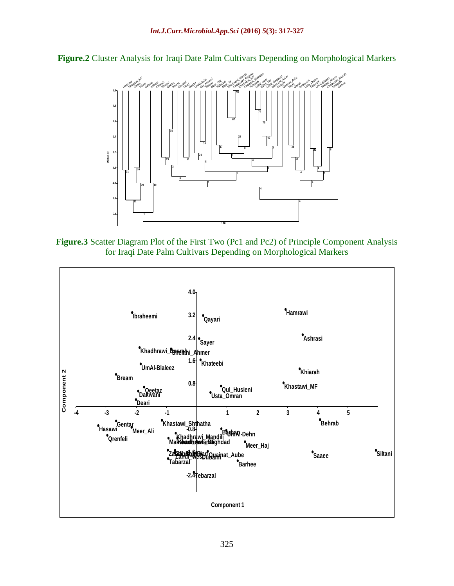**Figure.2** Cluster Analysis for Iraqi Date Palm Cultivars Depending on Morphological Markers



**Figure.3** Scatter Diagram Plot of the First Two (Pc1 and Pc2) of Principle Component Analysis for Iraqi Date Palm Cultivars Depending on Morphological Markers

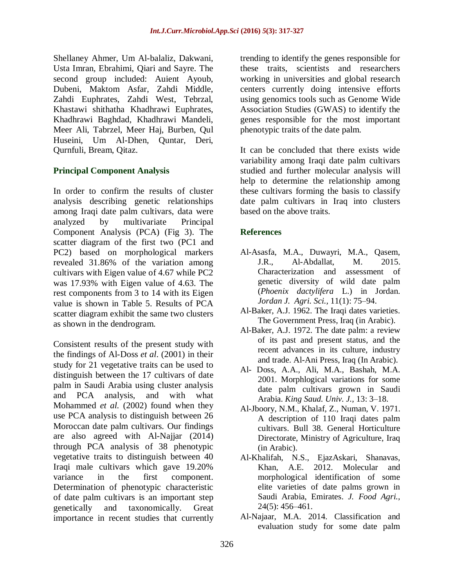Shellaney Ahmer, Um Al-balaliz, Dakwani, Usta Imran, Ebrahimi, Qiari and Sayre. The second group included: Auient Ayoub, Dubeni, Maktom Asfar, Zahdi Middle, Zahdi Euphrates, Zahdi West, Tebrzal, Khastawi shithatha Khadhrawi Euphrates, Khadhrawi Baghdad, Khadhrawi Mandeli, Meer Ali, Tabrzel, Meer Haj, Burben, Qul Huseini, Um Al-Dhen, Quntar, Deri, Qurnfuli, Bream, Qitaz.

### **Principal Component Analysis**

In order to confirm the results of cluster analysis describing genetic relationships among Iraqi date palm cultivars, data were analyzed by multivariate Principal Component Analysis (PCA) (Fig 3). The scatter diagram of the first two (PC1 and PC2) based on morphological markers revealed 31.86% of the variation among cultivars with Eigen value of 4.67 while PC2 was 17.93% with Eigen value of 4.63. The rest components from 3 to 14 with its Eigen value is shown in Table 5. Results of PCA scatter diagram exhibit the same two clusters as shown in the dendrogram.

Consistent results of the present study with the findings of Al-Doss *et al*. (2001) in their study for 21 vegetative traits can be used to distinguish between the 17 cultivars of date palm in Saudi Arabia using cluster analysis and PCA analysis, and with what Mohammed *et al.* (2002) found when they use PCA analysis to distinguish between 26 Moroccan date palm cultivars. Our findings are also agreed with Al-Najjar (2014) through PCA analysis of 38 phenotypic vegetative traits to distinguish between 40 Iraqi male cultivars which gave 19.20% variance in the first component. Determination of phenotypic characteristic of date palm cultivars is an important step genetically and taxonomically. Great importance in recent studies that currently

trending to identify the genes responsible for these traits, scientists and researchers working in universities and global research centers currently doing intensive efforts using genomics tools such as Genome Wide Association Studies (GWAS) to identify the genes responsible for the most important phenotypic traits of the date palm.

It can be concluded that there exists wide variability among Iraqi date palm cultivars studied and further molecular analysis will help to determine the relationship among these cultivars forming the basis to classify date palm cultivars in Iraq into clusters based on the above traits.

### **References**

- Al-Asasfa, M.A., Duwayri, M.A., Qasem, J.R., Al-Abdallat, M. 2015. Characterization and assessment of genetic diversity of wild date palm (*Phoenix dactylifera* L.) in Jordan. *Jordan J. Agri. Sci.,* 11(1): 75*–*94.
- Al-Baker, A.J. 1962. The Iraqi dates varieties. The Government Press, Iraq (in Arabic).
- Al-Baker, A.J. 1972. The date palm: a review of its past and present status, and the recent advances in its culture, industry and trade. Al-Ani Press, Iraq (In Arabic).
- Al- Doss, A.A., Ali, M.A., Bashah, M.A. 2001. Morphlogical variations for some date palm cultivars grown in Saudi Arabia. *King Saud. Univ. J.,* 13: 3*–*18.
- Al-Jboory, N.M., Khalaf, Z., Numan, V. 1971. A description of 110 Iraqi dates palm cultivars. Bull 38. General Horticulture Directorate, Ministry of Agriculture, Iraq (in Arabic).
- Al-Khalifah, N.S., EjazAskari, Shanavas, Khan, A.E. 2012. Molecular and morphological identification of some elite varieties of date palms grown in Saudi Arabia, Emirates. *J. Food Agri.,* 24(5): 456*–*461.
- Al-Najaar, M.A. 2014. Classification and evaluation study for some date palm